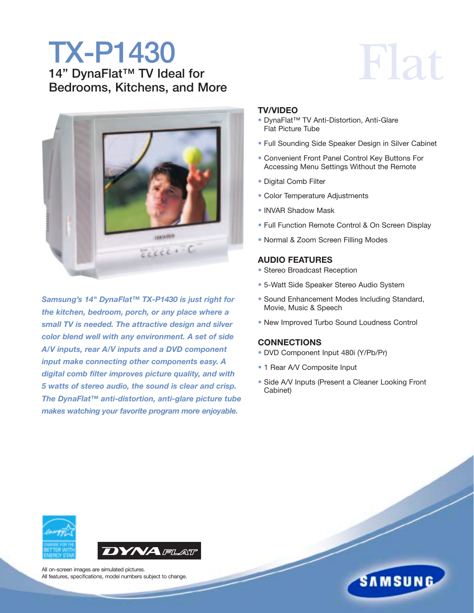### **TX-P1430 14" DynaFlat™ TV Ideal for Bedrooms, Kitchens, and More**



*Samsung's 14" DynaFlat™ TX-P1430 is just right for the kitchen, bedroom, porch, or any place where a small TV is needed. The attractive design and silver color blend well with any environment. A set of side A/V inputs, rear A/V inputs and a DVD component input make connecting other components easy. A digital comb filter improves picture quality, and with 5 watts of stereo audio, the sound is clear and crisp. The DynaFlat™ anti-distortion, anti-glare picture tube makes watching your favorite program more enjoyable.*

## Flat

#### **TV/VIDEO**

- DynaFlat™ TV Anti-Distortion, Anti-Glare Flat Picture Tube
- Full Sounding Side Speaker Design in Silver Cabinet
- Convenient Front Panel Control Key Buttons For Accessing Menu Settings Without the Remote
- Digital Comb Filter
- Color Temperature Adjustments
- INVAR Shadow Mask
- Full Function Remote Control & On Screen Display
- Normal & Zoom Screen Filling Modes

#### **AUDIO FEATURES**

- Stereo Broadcast Reception
- 5-Watt Side Speaker Stereo Audio System
- Sound Enhancement Modes Including Standard, Movie, Music & Speech
- New Improved Turbo Sound Loudness Control

#### **CONNECTIONS**

- DVD Component Input 480i (Y/Pb/Pr)
- 1 Rear A/V Composite Input
- Side A/V Inputs (Present a Cleaner Looking Front Cabinet)





All on-screen images are simulated pictures. All features, specifications, model numbers subject to change.